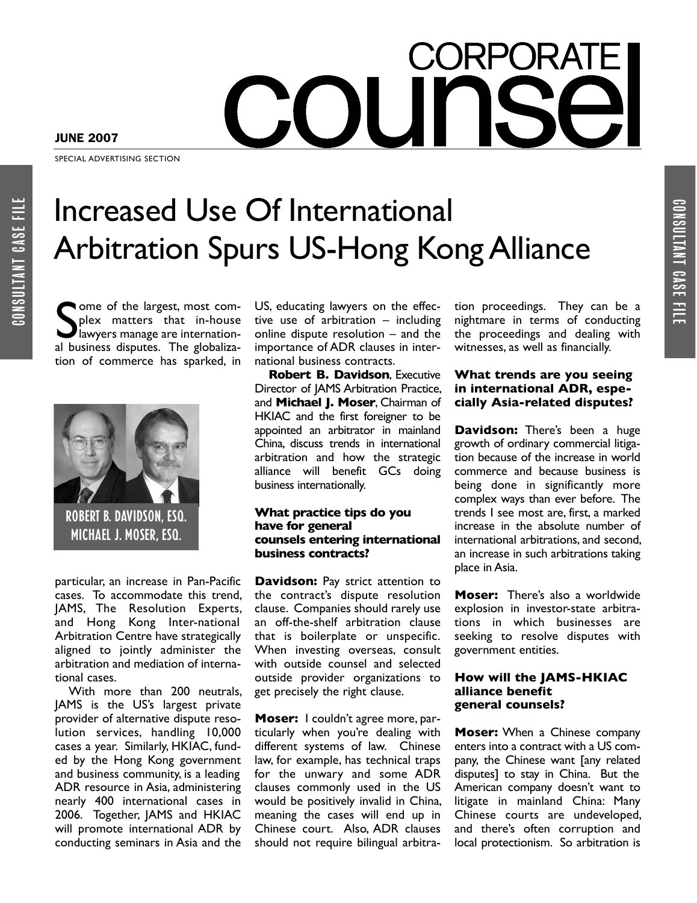# CORPORAT  $\bigcap$

JUNE 2007

SPECIAL ADVERTISING SECTION

# Increased Use Of International Arbitration Spurs US-Hong KongAlliance

Some of the largest, most com-<br>plex matters that in-house<br>lawyers manage are internation-<br>al business disputes. The globalizaome of the largest, most complex matters that in-house lawyers manage are internationtion of commerce has sparked, in



ROBERT B. DAVIDSON, ESQ. MICHAEL J. MOSER, ESQ.

particular, an increase in Pan-Pacific cases. To accommodate this trend, JAMS, The Resolution Experts, and Hong Kong Inter-national Arbitration Centre have strategically aligned to jointly administer the arbitration and mediation of international cases.

With more than 200 neutrals, JAMS is the US's largest private provider of alternative dispute resolution services, handling 10,000 cases a year. Similarly, HKIAC, funded by the Hong Kong government and business community, is a leading ADR resource in Asia, administering nearly 400 international cases in 2006. Together, JAMS and HKIAC will promote international ADR by conducting seminars in Asia and the

US, educating lawyers on the effective use of arbitration – including online dispute resolution – and the importance of ADR clauses in international business contracts.

**Robert B. Davidson**, Executive Director of JAMS Arbitration Practice, and **Michael J. Moser**, Chairman of HKIAC and the first foreigner to be appointed an arbitrator in mainland China, discuss trends in international arbitration and how the strategic alliance will benefit GCs doing business internationally.

## **What practice tips do you have for general counsels entering international business contracts?**

**Davidson:** Pay strict attention to the contract's dispute resolution clause. Companies should rarely use an off-the-shelf arbitration clause that is boilerplate or unspecific. When investing overseas, consult with outside counsel and selected outside provider organizations to get precisely the right clause.

**Moser:** I couldn't agree more, particularly when you're dealing with different systems of law. Chinese law, for example, has technical traps for the unwary and some ADR clauses commonly used in the US would be positively invalid in China, meaning the cases will end up in Chinese court. Also, ADR clauses should not require bilingual arbitration proceedings. They can be a nightmare in terms of conducting the proceedings and dealing with witnesses, as well as financially.

CONSULTANT

CASE

FILE

## **What trends are you seeing in international ADR, especially Asia-related disputes?**

**Davidson:** There's been a huge growth of ordinary commercial litigation because of the increase in world commerce and because business is being done in significantly more complex ways than ever before. The trends I see most are, first, a marked increase in the absolute number of international arbitrations, and second, an increase in such arbitrations taking place in Asia.

**Moser:** There's also a worldwide explosion in investor-state arbitrations in which businesses are seeking to resolve disputes with government entities.

### **How will the JAMS-HKIAC alliance benefit general counsels?**

**Moser:** When a Chinese company enters into a contract with a US company, the Chinese want [any related disputes] to stay in China. But the American company doesn't want to litigate in mainland China: Many Chinese courts are undeveloped, and there's often corruption and local protectionism. So arbitration is